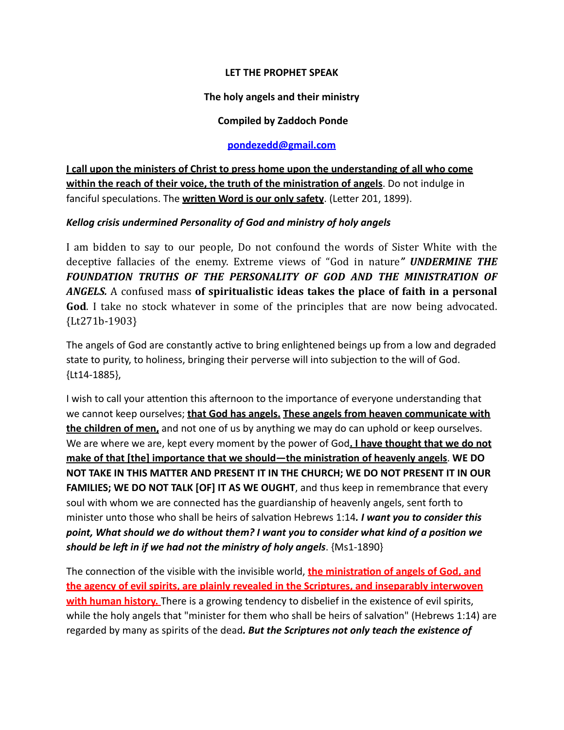#### **LET THE PROPHET SPEAK**

### The holy angels and their ministry

### **Compiled by Zaddoch Ponde**

#### **[pondezedd@gmail.com](mailto:pondezedd@gmail.com)**

**I** call upon the ministers of Christ to press home upon the understanding of all who come **within the reach of their voice, the truth of the ministration of angels**. Do not indulge in fanciful speculations. The written Word is our only safety. (Letter 201, 1899).

#### Kellog crisis undermined Personality of God and ministry of holy angels

I am bidden to say to our people, Do not confound the words of Sister White with the deceptive fallacies of the enemy. Extreme views of "God in nature" **UNDERMINE THE** *FOUNDATION TRUTHS OF THE PERSONALITY OF GOD AND THE MINISTRATION OF ANGELS.* **A confused mass of spiritualistic ideas takes the place of faith in a personal God**. I take no stock whatever in some of the principles that are now being advocated. {Lt271b-1903}

The angels of God are constantly active to bring enlightened beings up from a low and degraded state to purity, to holiness, bringing their perverse will into subjection to the will of God. {Lt14-1885}, 

I wish to call your attention this afternoon to the importance of everyone understanding that we cannot keep ourselves; **that God has angels. These angels from heaven communicate with the children of men,** and not one of us by anything we may do can uphold or keep ourselves. We are where we are, kept every moment by the power of God. I have thought that we do not make of that [the] importance that we should—the ministration of heavenly angels. WE DO **NOT TAKE IN THIS MATTER AND PRESENT IT IN THE CHURCH; WE DO NOT PRESENT IT IN OUR FAMILIES; WE DO NOT TALK [OF] IT AS WE OUGHT**, and thus keep in remembrance that every soul with whom we are connected has the guardianship of heavenly angels, sent forth to minister unto those who shall be heirs of salvation Hebrews 1:14. *I want you to consider this point,* What should we do without them? I want you to consider what kind of a position we should be left in if we had not the ministry of holy angels. {Ms1-1890}

The connection of the visible with the invisible world, **the ministration of angels of God, and the agency of evil spirits, are plainly revealed in the Scriptures, and inseparably interwoven with human history.** There is a growing tendency to disbelief in the existence of evil spirits, while the holy angels that "minister for them who shall be heirs of salvation" (Hebrews 1:14) are regarded by many as spirits of the dead. But the Scriptures not only teach the existence of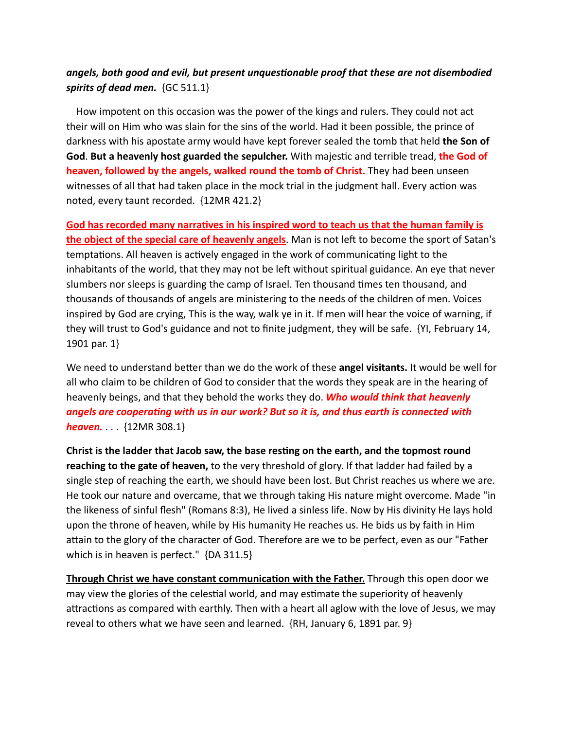# angels, both good and evil, but present unguestionable proof that these are not disembodied spirits of dead men. {GC 511.1}

How impotent on this occasion was the power of the kings and rulers. They could not act their will on Him who was slain for the sins of the world. Had it been possible, the prince of darkness with his apostate army would have kept forever sealed the tomb that held the Son of **God.** But a heavenly host guarded the sepulcher. With majestic and terrible tread, the God of **heaven, followed by the angels, walked round the tomb of Christ.** They had been unseen witnesses of all that had taken place in the mock trial in the judgment hall. Every action was noted, every taunt recorded. {12MR 421.2}

**God has recorded many narratives in his inspired word to teach us that the human family is the object of the special care of heavenly angels**. Man is not left to become the sport of Satan's temptations. All heaven is actively engaged in the work of communicating light to the inhabitants of the world, that they may not be left without spiritual guidance. An eye that never slumbers nor sleeps is guarding the camp of Israel. Ten thousand times ten thousand, and thousands of thousands of angels are ministering to the needs of the children of men. Voices inspired by God are crying, This is the way, walk ye in it. If men will hear the voice of warning, if they will trust to God's guidance and not to finite judgment, they will be safe. {YI, February 14, 1901 par.  $1$ }

We need to understand better than we do the work of these **angel visitants.** It would be well for all who claim to be children of God to consider that the words they speak are in the hearing of heavenly beings, and that they behold the works they do. **Who would think that heavenly** angels are cooperating with us in our work? But so it is, and thus earth is connected with **heaven.** . . . {12MR 308.1}

Christ is the ladder that Jacob saw, the base resting on the earth, and the topmost round reaching to the gate of heaven, to the very threshold of glory. If that ladder had failed by a single step of reaching the earth, we should have been lost. But Christ reaches us where we are. He took our nature and overcame, that we through taking His nature might overcome. Made "in the likeness of sinful flesh" (Romans 8:3), He lived a sinless life. Now by His divinity He lays hold upon the throne of heaven, while by His humanity He reaches us. He bids us by faith in Him attain to the glory of the character of God. Therefore are we to be perfect, even as our "Father which is in heaven is perfect." {DA 311.5}

**Through Christ we have constant communication with the Father.** Through this open door we may view the glories of the celestial world, and may estimate the superiority of heavenly attractions as compared with earthly. Then with a heart all aglow with the love of Jesus, we may reveal to others what we have seen and learned. {RH, January 6, 1891 par. 9}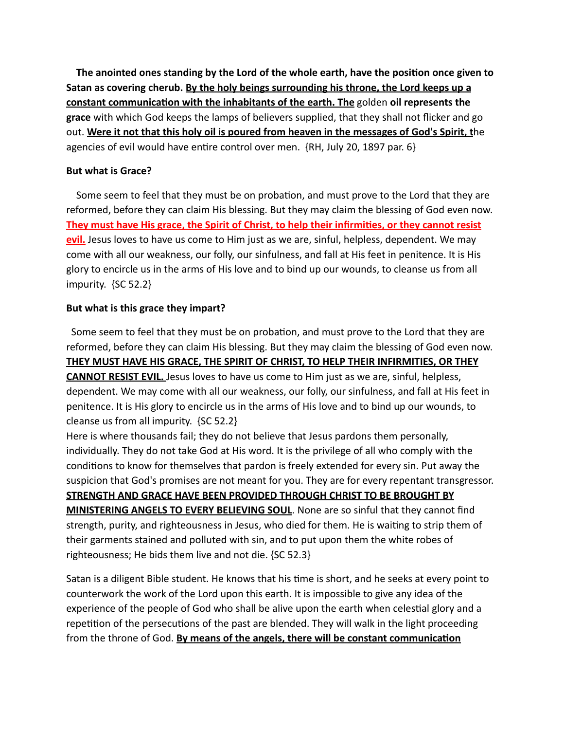The anointed ones standing by the Lord of the whole earth, have the position once given to **Satan as covering cherub. By the holy beings surrounding his throne, the Lord keeps up a <u>constant communication with the inhabitants of the earth. The golden oil represents the**</u> **grace** with which God keeps the lamps of believers supplied, that they shall not flicker and go out. Were it not that this holy oil is poured from heaven in the messages of God's Spirit, the agencies of evil would have entire control over men.  $\{RH, July 20, 1897\}$  par. 6 $\}$ 

#### **But what is Grace?**

Some seem to feel that they must be on probation, and must prove to the Lord that they are reformed, before they can claim His blessing. But they may claim the blessing of God even now. **They must have His grace, the Spirit of Christ, to help their infirmities, or they cannot resist evil.** Jesus loves to have us come to Him just as we are, sinful, helpless, dependent. We may come with all our weakness, our folly, our sinfulness, and fall at His feet in penitence. It is His glory to encircle us in the arms of His love and to bind up our wounds, to cleanse us from all impurity.  ${SC 52.2}$ 

#### But what is this grace they impart?

Some seem to feel that they must be on probation, and must prove to the Lord that they are reformed, before they can claim His blessing. But they may claim the blessing of God even now. **THEY MUST HAVE HIS GRACE, THE SPIRIT OF CHRIST, TO HELP THEIR INFIRMITIES, OR THEY CANNOT RESIST EVIL.** Jesus loves to have us come to Him just as we are, sinful, helpless, dependent. We may come with all our weakness, our folly, our sinfulness, and fall at His feet in penitence. It is His glory to encircle us in the arms of His love and to bind up our wounds, to cleanse us from all impurity.  ${SC 52.2}$ 

Here is where thousands fail; they do not believe that Jesus pardons them personally, individually. They do not take God at His word. It is the privilege of all who comply with the conditions to know for themselves that pardon is freely extended for every sin. Put away the suspicion that God's promises are not meant for you. They are for every repentant transgressor. **STRENGTH AND GRACE HAVE BEEN PROVIDED THROUGH CHRIST TO BE BROUGHT BY MINISTERING ANGELS TO EVERY BELIEVING SOUL**. None are so sinful that they cannot find strength, purity, and righteousness in Jesus, who died for them. He is waiting to strip them of their garments stained and polluted with sin, and to put upon them the white robes of righteousness; He bids them live and not die.  ${SC 52.3}$ 

Satan is a diligent Bible student. He knows that his time is short, and he seeks at every point to counterwork the work of the Lord upon this earth. It is impossible to give any idea of the experience of the people of God who shall be alive upon the earth when celestial glory and a repetition of the persecutions of the past are blended. They will walk in the light proceeding from the throne of God. By means of the angels, there will be constant communication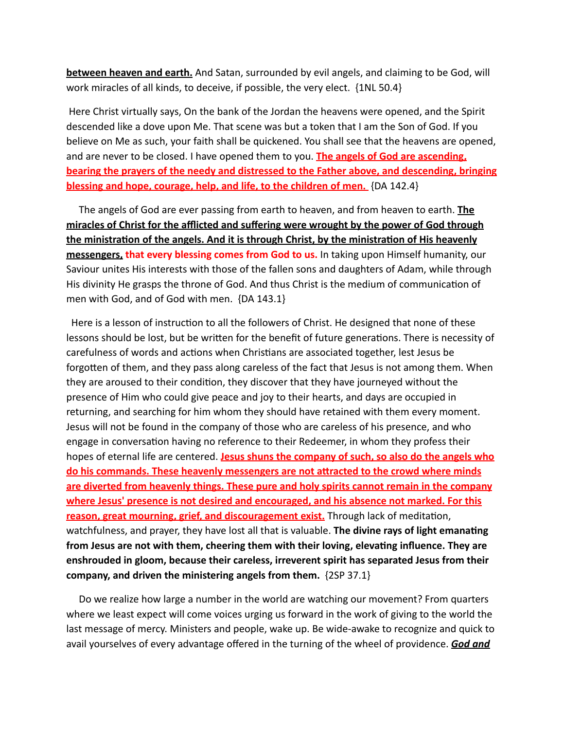**between heaven and earth.** And Satan, surrounded by evil angels, and claiming to be God, will work miracles of all kinds, to deceive, if possible, the very elect.  $\{1NL\ 50.4\}$ 

Here Christ virtually says, On the bank of the Jordan the heavens were opened, and the Spirit descended like a dove upon Me. That scene was but a token that I am the Son of God. If you believe on Me as such, your faith shall be quickened. You shall see that the heavens are opened, and are never to be closed. I have opened them to you. **The angels of God are ascending**, **<u>bearing the prayers of the needy and distressed to the Father above, and descending, bringing**</u> **blessing and hope, courage, help, and life, to the children of men.** {DA 142.4}

The angels of God are ever passing from earth to heaven, and from heaven to earth. **The miracles of Christ for the afflicted and suffering were wrought by the power of God through the ministration of the angels. And it is through Christ, by the ministration of His heavenly** messengers, that every blessing comes from God to us. In taking upon Himself humanity, our Saviour unites His interests with those of the fallen sons and daughters of Adam, while through His divinity He grasps the throne of God. And thus Christ is the medium of communication of men with God, and of God with men.  ${DA 143.1}$ 

Here is a lesson of instruction to all the followers of Christ. He designed that none of these lessons should be lost, but be written for the benefit of future generations. There is necessity of carefulness of words and actions when Christians are associated together, lest Jesus be forgotten of them, and they pass along careless of the fact that Jesus is not among them. When they are aroused to their condition, they discover that they have journeyed without the presence of Him who could give peace and joy to their hearts, and days are occupied in returning, and searching for him whom they should have retained with them every moment. Jesus will not be found in the company of those who are careless of his presence, and who engage in conversation having no reference to their Redeemer, in whom they profess their hopes of eternal life are centered. **Jesus shuns the company of such, so also do the angels who** do his commands. These heavenly messengers are not attracted to the crowd where minds **are diverted from heavenly things. These pure and holy spirits cannot remain in the company** where Jesus' presence is not desired and encouraged, and his absence not marked. For this **reason, great mourning, grief, and discouragement exist.** Through lack of meditation, watchfulness, and prayer, they have lost all that is valuable. **The divine rays of light emanating** from Jesus are not with them, cheering them with their loving, elevating influence. They are enshrouded in gloom, because their careless, irreverent spirit has separated Jesus from their **company, and driven the ministering angels from them.** {2SP 37.1}

Do we realize how large a number in the world are watching our movement? From quarters where we least expect will come voices urging us forward in the work of giving to the world the last message of mercy. Ministers and people, wake up. Be wide-awake to recognize and quick to avail yourselves of every advantage offered in the turning of the wheel of providence. **God and**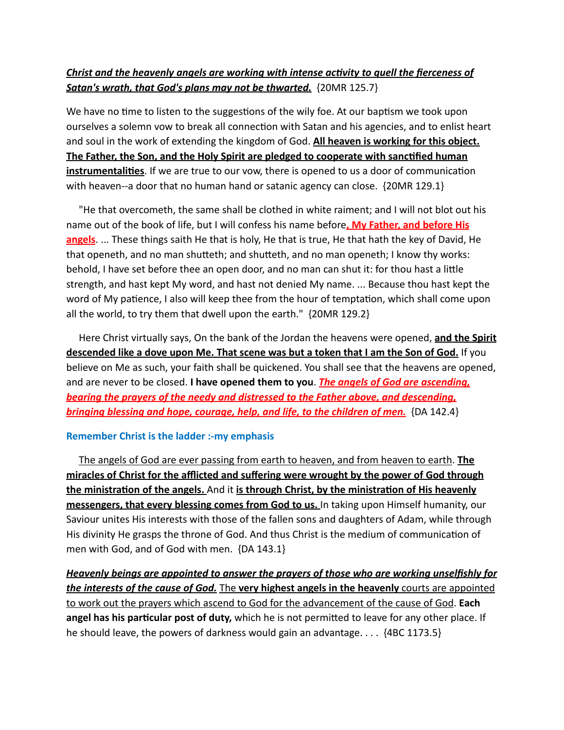# *Christ and the heavenly angels are working with intense activity to quell the fierceness of* **Satan's wrath, that God's plans may not be thwarted.** {20MR 125.7}

We have no time to listen to the suggestions of the wily foe. At our baptism we took upon ourselves a solemn vow to break all connection with Satan and his agencies, and to enlist heart and soul in the work of extending the kingdom of God. All heaven is working for this object. **The Father, the Son, and the Holy Spirit are pledged to cooperate with sanctified human instrumentalities**. If we are true to our vow, there is opened to us a door of communication with heaven--a door that no human hand or satanic agency can close.  $\{20MR 129.1\}$ 

"He that overcometh, the same shall be clothed in white raiment; and I will not blot out his name out of the book of life, but I will confess his name before, My Father, and before His **angels**. ... These things saith He that is holy, He that is true, He that hath the key of David, He that openeth, and no man shutteth; and shutteth, and no man openeth; I know thy works: behold, I have set before thee an open door, and no man can shut it: for thou hast a little strength, and hast kept My word, and hast not denied My name. ... Because thou hast kept the word of My patience, I also will keep thee from the hour of temptation, which shall come upon all the world, to try them that dwell upon the earth."  $\{20MR\ 129.2\}$ 

Here Christ virtually says, On the bank of the Jordan the heavens were opened, **and the Spirit descended like a dove upon Me. That scene was but a token that I am the Son of God.** If you believe on Me as such, your faith shall be quickened. You shall see that the heavens are opened, and are never to be closed. I have opened them to you. **The angels of God are ascending**, *bearing the prayers of the needy and distressed to the Father above, and descending,* **bringing blessing and hope, courage, help, and life, to the children of men.** {DA 142.4}

## **Remember Christ is the ladder :-my emphasis**

The angels of God are ever passing from earth to heaven, and from heaven to earth. The **miracles of Christ for the afflicted and suffering were wrought by the power of God through the ministration of the angels.** And it **is through Christ, by the ministration of His heavenly messengers, that every blessing comes from God to us.** In taking upon Himself humanity, our Saviour unites His interests with those of the fallen sons and daughters of Adam, while through His divinity He grasps the throne of God. And thus Christ is the medium of communication of men with God, and of God with men.  ${DA 143.1}$ 

Heavenly beings are appointed to answer the prayers of those who are working unselfishly for *the interests of the cause of God.* The very highest angels in the heavenly courts are appointed to work out the prayers which ascend to God for the advancement of the cause of God. Each **angel has his particular post of duty,** which he is not permitted to leave for any other place. If he should leave, the powers of darkness would gain an advantage.  $\dots$  {4BC 1173.5}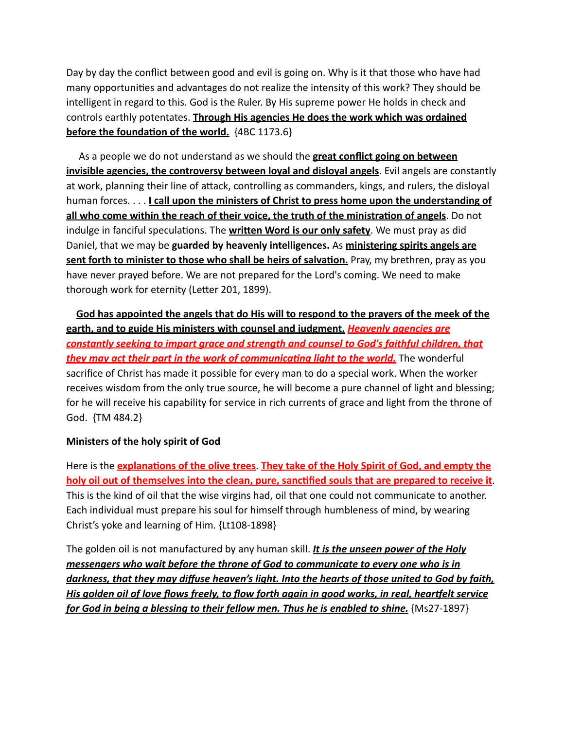Day by day the conflict between good and evil is going on. Why is it that those who have had many opportunities and advantages do not realize the intensity of this work? They should be intelligent in regard to this. God is the Ruler. By His supreme power He holds in check and controls earthly potentates. **Through His agencies He does the work which was ordained before the foundation of the world.** {4BC 1173.6}

As a people we do not understand as we should the **great conflict going on between** invisible agencies, the controversy between loyal and disloyal angels. Evil angels are constantly at work, planning their line of attack, controlling as commanders, kings, and rulers, the disloyal human forces. . . . **I call upon the ministers of Christ to press home upon the understanding of all who come within the reach of their voice, the truth of the ministration of angels**. Do not indulge in fanciful speculations. The **written Word is our only safety**. We must pray as did Daniel, that we may be **guarded by heavenly intelligences.** As **ministering spirits angels are sent forth to minister to those who shall be heirs of salvation.** Pray, my brethren, pray as you have never prayed before. We are not prepared for the Lord's coming. We need to make thorough work for eternity (Letter 201, 1899).

God has appointed the angels that do His will to respond to the prayers of the meek of the earth, and to guide His ministers with counsel and judgment. *Heavenly agencies are constantly seeking to impart grace and strength and counsel to God's faithful children, that they may act their part in the work of communicating light to the world.* The wonderful sacrifice of Christ has made it possible for every man to do a special work. When the worker receives wisdom from the only true source, he will become a pure channel of light and blessing; for he will receive his capability for service in rich currents of grace and light from the throne of God. {TM 484.2}

## **Ministers of the holy spirit of God**

Here is the **explanations of the olive trees**. They take of the Holy Spirit of God, and empty the **holy oil out of themselves into the clean, pure, sanctified souls that are prepared to receive it.** This is the kind of oil that the wise virgins had, oil that one could not communicate to another. Each individual must prepare his soul for himself through humbleness of mind, by wearing Christ's yoke and learning of  $\text{Him.} \{ \text{lt108-1898} \}$ 

The golden oil is not manufactured by any human skill. **It is the unseen power of the Holy** *messengers* who wait before the throne of God to communicate to every one who is in *darkness, that they may diffuse heaven's light. Into the hearts of those united to God by faith, His* golden oil of love flows freely, to flow forth again in good works, in real, heartfelt service *for God in being a blessing to their fellow men. Thus he is enabled to shine.* {Ms27-1897}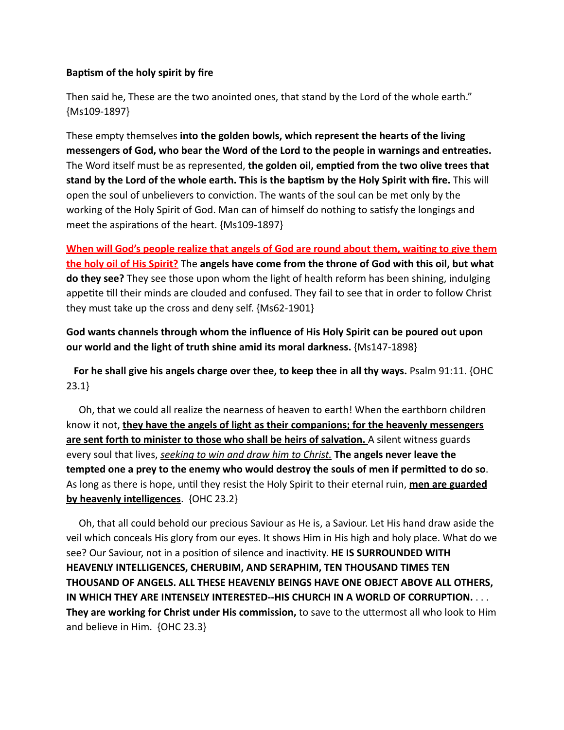### **Baptism of the holy spirit by fire**

Then said he, These are the two anointed ones, that stand by the Lord of the whole earth." {Ms109-1897} 

These empty themselves into the golden bowls, which represent the hearts of the living messengers of God, who bear the Word of the Lord to the people in warnings and entreaties. The Word itself must be as represented, the golden oil, emptied from the two olive trees that **stand by the Lord of the whole earth. This is the baptism by the Holy Spirit with fire.** This will open the soul of unbelievers to conviction. The wants of the soul can be met only by the working of the Holy Spirit of God. Man can of himself do nothing to satisfy the longings and meet the aspirations of the heart.  ${Ms109-1897}$ 

**When will God's people realize that angels of God are round about them, waiting to give them the holy oil of His Spirit?** The angels have come from the throne of God with this oil, but what **do they see?** They see those upon whom the light of health reform has been shining, indulging appetite till their minds are clouded and confused. They fail to see that in order to follow Christ they must take up the cross and deny self.  ${Ms62-1901}$ 

God wants channels through whom the influence of His Holy Spirit can be poured out upon **our world and the light of truth shine amid its moral darkness.** {Ms147-1898}

**For he shall give his angels charge over thee, to keep thee in all thy ways.** Psalm 91:11. {OHC 23.1} 

Oh, that we could all realize the nearness of heaven to earth! When the earthborn children know it not, **they have the angels of light as their companions; for the heavenly messengers are sent forth to minister to those who shall be heirs of salvation.** A silent witness guards every soul that lives, *seeking to win and draw him to Christ*. **The angels never leave the tempted one a prey to the enemy who would destroy the souls of men if permitted to do so.** As long as there is hope, until they resist the Holy Spirit to their eternal ruin, **men are guarded by heavenly intelligences**. {OHC 23.2}

Oh, that all could behold our precious Saviour as He is, a Saviour. Let His hand draw aside the veil which conceals His glory from our eyes. It shows Him in His high and holy place. What do we see? Our Saviour, not in a position of silence and inactivity. HE IS SURROUNDED WITH **HEAVENLY INTELLIGENCES, CHERUBIM, AND SERAPHIM, TEN THOUSAND TIMES TEN** THOUSAND OF ANGELS. ALL THESE HEAVENLY BEINGS HAVE ONE OBJECT ABOVE ALL OTHERS, **IN WHICH THEY ARE INTENSELY INTERESTED--HIS CHURCH IN A WORLD OF CORRUPTION.** . . . **They are working for Christ under His commission,** to save to the uttermost all who look to Him and believe in Him. {OHC 23.3}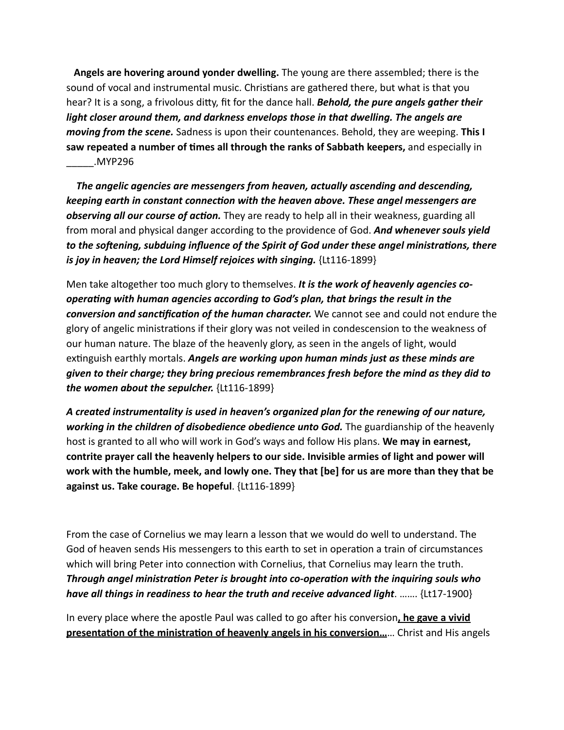**Angels are hovering around yonder dwelling.** The young are there assembled; there is the sound of vocal and instrumental music. Christians are gathered there, but what is that you hear? It is a song, a frivolous ditty, fit for the dance hall. **Behold, the pure angels gather their** *light closer around them, and darkness envelops those in that dwelling. The angels are moving from the scene.* Sadness is upon their countenances. Behold, they are weeping. This I saw repeated a number of times all through the ranks of Sabbath keepers, and especially in \_\_\_\_\_.MYP296

The angelic agencies are messengers from heaven, actually ascending and descending, *keeping earth in constant connection with the heaven above. These angel messengers are observing all our course of action.* They are ready to help all in their weakness, guarding all from moral and physical danger according to the providence of God. And whenever souls yield to the softening, subduing influence of the Spirit of God under these angel ministrations, there *is joy in heaven; the Lord Himself rejoices with singing.* {Lt116-1899}

Men take altogether too much glory to themselves. It is the work of heavenly agencies co*operating* with human agencies according to God's plan, that brings the result in the conversion and sanctification of the human character. We cannot see and could not endure the glory of angelic ministrations if their glory was not veiled in condescension to the weakness of our human nature. The blaze of the heavenly glory, as seen in the angels of light, would extinguish earthly mortals. *Angels are working upon human minds just as these minds are given* to their charge; they bring precious remembrances fresh before the mind as they did to *the women about the sepulcher.* {Lt116-1899}

A created instrumentality is used in heaven's organized plan for the renewing of our nature, *working in the children of disobedience obedience unto God.* The guardianship of the heavenly host is granted to all who will work in God's ways and follow His plans. We may in earnest, contrite prayer call the heavenly helpers to our side. Invisible armies of light and power will work with the humble, meek, and lowly one. They that [be] for us are more than they that be **against us. Take courage. Be hopeful**. {Lt116-1899}

From the case of Cornelius we may learn a lesson that we would do well to understand. The God of heaven sends His messengers to this earth to set in operation a train of circumstances which will bring Peter into connection with Cornelius, that Cornelius may learn the truth. **Through angel ministration Peter is brought into co-operation with the inquiring souls who** have all things in readiness to hear the truth and receive advanced light. ……. {Lt17-1900}

In every place where the apostle Paul was called to go after his conversion, he gave a vivid **presentation of the ministration of heavenly angels in his conversion...**... Christ and His angels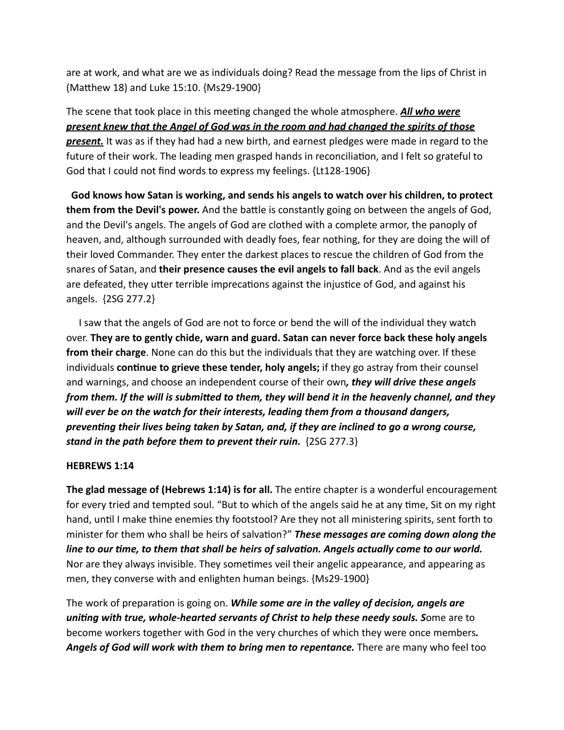are at work, and what are we as individuals doing? Read the message from the lips of Christ in (Matthew 18) and Luke 15:10. {Ms29-1900}

The scene that took place in this meeting changed the whole atmosphere. **All who were** present knew that the Angel of God was in the room and had changed the spirits of those **present.** It was as if they had had a new birth, and earnest pledges were made in regard to the future of their work. The leading men grasped hands in reconciliation, and I felt so grateful to God that I could not find words to express my feelings. {Lt128-1906}

God knows how Satan is working, and sends his angels to watch over his children, to protect **them from the Devil's power.** And the battle is constantly going on between the angels of God, and the Devil's angels. The angels of God are clothed with a complete armor, the panoply of heaven, and, although surrounded with deadly foes, fear nothing, for they are doing the will of their loved Commander. They enter the darkest places to rescue the children of God from the snares of Satan, and **their presence causes the evil angels to fall back**. And as the evil angels are defeated, they utter terrible imprecations against the injustice of God, and against his angels. {2SG 277.2}

I saw that the angels of God are not to force or bend the will of the individual they watch over. They are to gently chide, warn and guard. Satan can never force back these holy angels **from their charge**. None can do this but the individuals that they are watching over. If these individuals **continue to grieve these tender, holy angels;** if they go astray from their counsel and warnings, and choose an independent course of their own, they will drive these angels *from them.* If the will is submitted to them, they will bend it in the heavenly channel, and they will ever be on the watch for their interests, leading them from a thousand dangers, *preventing their lives being taken by Satan, and, if they are inclined to go a wrong course, stand in the path before them to prevent their ruin.* {2SG 277.3}

#### **HEBREWS 1:14**

**The glad message of (Hebrews 1:14) is for all.** The entire chapter is a wonderful encouragement for every tried and tempted soul. "But to which of the angels said he at any time, Sit on my right hand, until I make thine enemies thy footstool? Are they not all ministering spirits, sent forth to minister for them who shall be heirs of salvation?" These messages are coming down along the *line* to our time, to them that shall be heirs of salvation. Angels actually come to our world. Nor are they always invisible. They sometimes veil their angelic appearance, and appearing as men, they converse with and enlighten human beings. {Ms29-1900}

The work of preparation is going on. **While some are in the valley of decision, angels are** *uniting with true, whole-hearted servants of Christ to help these needy souls. Some are to* become workers together with God in the very churches of which they were once members. Angels of God will work with them to bring men to repentance. There are many who feel too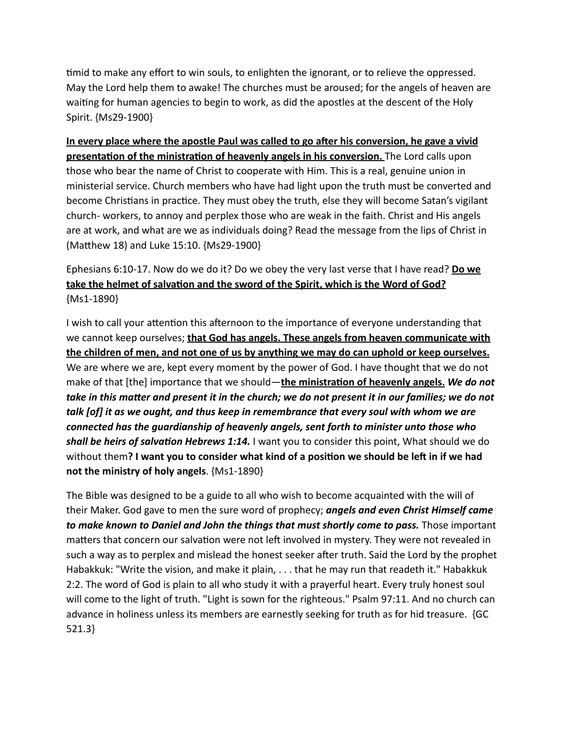timid to make any effort to win souls, to enlighten the ignorant, or to relieve the oppressed. May the Lord help them to awake! The churches must be aroused; for the angels of heaven are waiting for human agencies to begin to work, as did the apostles at the descent of the Holy Spirit. {Ms29-1900}

In every place where the apostle Paul was called to go after his conversion, he gave a vivid **presentation of the ministration of heavenly angels in his conversion.** The Lord calls upon those who bear the name of Christ to cooperate with Him. This is a real, genuine union in ministerial service. Church members who have had light upon the truth must be converted and become Christians in practice. They must obey the truth, else they will become Satan's vigilant church- workers, to annoy and perplex those who are weak in the faith. Christ and His angels are at work, and what are we as individuals doing? Read the message from the lips of Christ in (Matthew 18) and Luke 15:10. {Ms29-1900}

# Ephesians 6:10-17. Now do we do it? Do we obey the very last verse that I have read? **Do we** take the helmet of salvation and the sword of the Spirit, which is the Word of God? {Ms1-1890}

I wish to call your attention this afternoon to the importance of everyone understanding that we cannot keep ourselves; **that God has angels. These angels from heaven communicate with the children of men, and not one of us by anything we may do can uphold or keep ourselves.** We are where we are, kept every moment by the power of God. I have thought that we do not make of that [the] importance that we should—**the ministration of heavenly angels.** *We do not* take in this matter and present it in the church; we do not present it in our families; we do not talk [of] it as we ought, and thus keep in remembrance that every soul with whom we are *connected has the guardianship of heavenly angels, sent forth to minister unto those who* **shall be heirs of salvation Hebrews 1:14.** I want you to consider this point, What should we do without them? I want you to consider what kind of a position we should be left in if we had **not the ministry of holy angels.** {Ms1-1890}

The Bible was designed to be a guide to all who wish to become acquainted with the will of their Maker. God gave to men the sure word of prophecy; **angels and even Christ Himself came to make known to Daniel and John the things that must shortly come to pass.** Those important matters that concern our salvation were not left involved in mystery. They were not revealed in such a way as to perplex and mislead the honest seeker after truth. Said the Lord by the prophet Habakkuk: "Write the vision, and make it plain,  $\dots$  that he may run that readeth it." Habakkuk 2:2. The word of God is plain to all who study it with a prayerful heart. Every truly honest soul will come to the light of truth. "Light is sown for the righteous." Psalm 97:11. And no church can advance in holiness unless its members are earnestly seeking for truth as for hid treasure. {GC 521.3}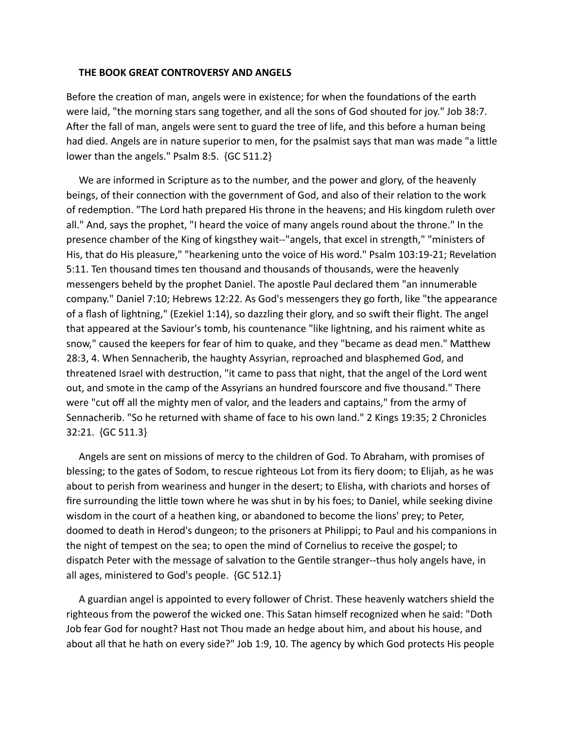#### **THE BOOK GREAT CONTROVERSY AND ANGELS**

Before the creation of man, angels were in existence; for when the foundations of the earth were laid, "the morning stars sang together, and all the sons of God shouted for joy." Job 38:7. After the fall of man, angels were sent to guard the tree of life, and this before a human being had died. Angels are in nature superior to men, for the psalmist says that man was made "a little lower than the angels." Psalm 8:5. {GC 511.2}

We are informed in Scripture as to the number, and the power and glory, of the heavenly beings, of their connection with the government of God, and also of their relation to the work of redemption. "The Lord hath prepared His throne in the heavens; and His kingdom ruleth over all." And, says the prophet, "I heard the voice of many angels round about the throne." In the presence chamber of the King of kingsthey wait--"angels, that excel in strength," "ministers of His, that do His pleasure," "hearkening unto the voice of His word." Psalm 103:19-21; Revelation 5:11. Ten thousand times ten thousand and thousands of thousands, were the heavenly messengers beheld by the prophet Daniel. The apostle Paul declared them "an innumerable company." Daniel 7:10; Hebrews 12:22. As God's messengers they go forth, like "the appearance of a flash of lightning," (Ezekiel 1:14), so dazzling their glory, and so swift their flight. The angel that appeared at the Saviour's tomb, his countenance "like lightning, and his raiment white as snow," caused the keepers for fear of him to quake, and they "became as dead men." Matthew 28:3, 4. When Sennacherib, the haughty Assyrian, reproached and blasphemed God, and threatened Israel with destruction, "it came to pass that night, that the angel of the Lord went out, and smote in the camp of the Assyrians an hundred fourscore and five thousand." There were "cut off all the mighty men of valor, and the leaders and captains," from the army of Sennacherib. "So he returned with shame of face to his own land." 2 Kings 19:35; 2 Chronicles 32:21. {GC 511.3}

Angels are sent on missions of mercy to the children of God. To Abraham, with promises of blessing; to the gates of Sodom, to rescue righteous Lot from its fiery doom; to Elijah, as he was about to perish from weariness and hunger in the desert; to Elisha, with chariots and horses of fire surrounding the little town where he was shut in by his foes; to Daniel, while seeking divine wisdom in the court of a heathen king, or abandoned to become the lions' prey; to Peter, doomed to death in Herod's dungeon; to the prisoners at Philippi; to Paul and his companions in the night of tempest on the sea; to open the mind of Cornelius to receive the gospel; to dispatch Peter with the message of salvation to the Gentile stranger--thus holy angels have, in all ages, ministered to God's people.  ${GC 512.1}$ 

A guardian angel is appointed to every follower of Christ. These heavenly watchers shield the righteous from the powerof the wicked one. This Satan himself recognized when he said: "Doth Job fear God for nought? Hast not Thou made an hedge about him, and about his house, and about all that he hath on every side?" Job 1:9, 10. The agency by which God protects His people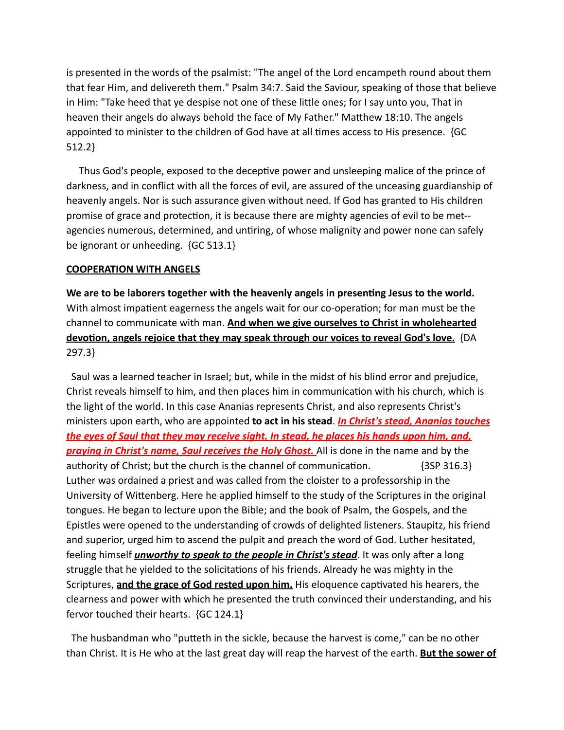is presented in the words of the psalmist: "The angel of the Lord encampeth round about them that fear Him, and delivereth them." Psalm 34:7. Said the Saviour, speaking of those that believe in Him: "Take heed that ye despise not one of these little ones; for I say unto you, That in heaven their angels do always behold the face of My Father." Matthew 18:10. The angels appointed to minister to the children of God have at all times access to His presence. {GC 512.2} 

Thus God's people, exposed to the deceptive power and unsleeping malice of the prince of darkness, and in conflict with all the forces of evil, are assured of the unceasing guardianship of heavenly angels. Nor is such assurance given without need. If God has granted to His children promise of grace and protection, it is because there are mighty agencies of evil to be met-agencies numerous, determined, and untiring, of whose malignity and power none can safely be ignorant or unheeding.  ${GC 513.1}$ 

#### **COOPERATION WITH ANGELS**

We are to be laborers together with the heavenly angels in presenting Jesus to the world. With almost impatient eagerness the angels wait for our co-operation; for man must be the channel to communicate with man. And when we give ourselves to Christ in wholehearted **devotion, angels rejoice that they may speak through our voices to reveal God's love.** {DA 297.3} 

Saul was a learned teacher in Israel; but, while in the midst of his blind error and prejudice, Christ reveals himself to him, and then places him in communication with his church, which is the light of the world. In this case Ananias represents Christ, and also represents Christ's ministers upon earth, who are appointed **to act in his stead.** *In Christ's stead, Ananias touches the eyes of Saul that they may receive sight. In stead, he places his hands upon him, and,* **praying in Christ's name, Saul receives the Holy Ghost.** All is done in the name and by the authority of Christ; but the church is the channel of communication. {3SP 316.3} Luther was ordained a priest and was called from the cloister to a professorship in the University of Wittenberg. Here he applied himself to the study of the Scriptures in the original tongues. He began to lecture upon the Bible; and the book of Psalm, the Gospels, and the Epistles were opened to the understanding of crowds of delighted listeners. Staupitz, his friend and superior, urged him to ascend the pulpit and preach the word of God. Luther hesitated, feeling himself *unworthy to speak to the people in Christ's stead*. It was only after a long struggle that he yielded to the solicitations of his friends. Already he was mighty in the Scriptures, **and the grace of God rested upon him.** His eloquence captivated his hearers, the clearness and power with which he presented the truth convinced their understanding, and his fervor touched their hearts.  ${GC 124.1}$ 

The husbandman who "putteth in the sickle, because the harvest is come," can be no other than Christ. It is He who at the last great day will reap the harvest of the earth. But the sower of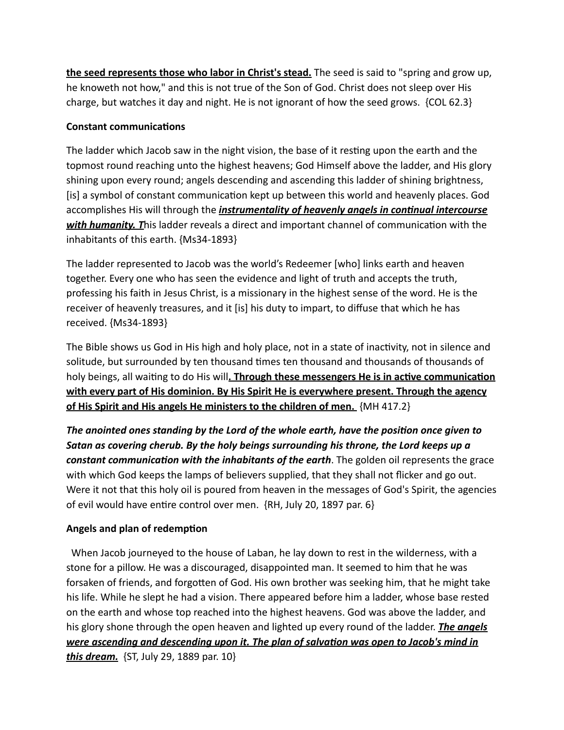the seed represents those who labor in Christ's stead. The seed is said to "spring and grow up, he knoweth not how," and this is not true of the Son of God. Christ does not sleep over His charge, but watches it day and night. He is not ignorant of how the seed grows.  ${COL 62.3}$ 

# **Constant communications**

The ladder which Jacob saw in the night vision, the base of it resting upon the earth and the topmost round reaching unto the highest heavens; God Himself above the ladder, and His glory shining upon every round; angels descending and ascending this ladder of shining brightness, [is] a symbol of constant communication kept up between this world and heavenly places. God accomplishes His will through the *instrumentality of heavenly angels in continual intercourse* **with humanity.** This ladder reveals a direct and important channel of communication with the inhabitants of this earth. {Ms34-1893}

The ladder represented to Jacob was the world's Redeemer [who] links earth and heaven together. Every one who has seen the evidence and light of truth and accepts the truth, professing his faith in Jesus Christ, is a missionary in the highest sense of the word. He is the receiver of heavenly treasures, and it [is] his duty to impart, to diffuse that which he has received. {Ms34-1893}

The Bible shows us God in His high and holy place, not in a state of inactivity, not in silence and solitude, but surrounded by ten thousand times ten thousand and thousands of thousands of holy beings, all waiting to do His will. Through these messengers He is in active communication with every part of His dominion. By His Spirit He is everywhere present. Through the agency **of His Spirit and His angels He ministers to the children of men.** {MH 417.2}

The anointed ones standing by the Lord of the whole earth, have the position once given to Satan as covering cherub. By the holy beings surrounding his throne, the Lord keeps up a *constant communication with the inhabitants of the earth*. The golden oil represents the grace with which God keeps the lamps of believers supplied, that they shall not flicker and go out. Were it not that this holy oil is poured from heaven in the messages of God's Spirit, the agencies of evil would have entire control over men.  $\{RH, July 20, 1897\}$  par. 6 $\}$ 

# **Angels and plan of redemption**

When Jacob journeyed to the house of Laban, he lay down to rest in the wilderness, with a stone for a pillow. He was a discouraged, disappointed man. It seemed to him that he was forsaken of friends, and forgotten of God. His own brother was seeking him, that he might take his life. While he slept he had a vision. There appeared before him a ladder, whose base rested on the earth and whose top reached into the highest heavens. God was above the ladder, and his glory shone through the open heaven and lighted up every round of the ladder. **The angels** *were ascending and descending upon it. The plan of salvation was open to Jacob's mind in* **this dream.** {ST, July 29, 1889 par. 10}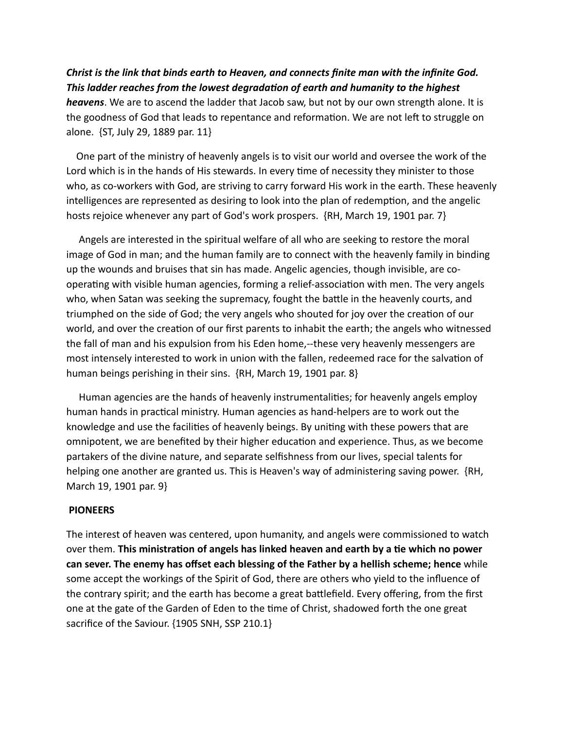*Christ is the link that binds earth to Heaven, and connects finite man with the infinite God.* This ladder reaches from the lowest degradation of earth and humanity to the highest *heavens*. We are to ascend the ladder that Jacob saw, but not by our own strength alone. It is the goodness of God that leads to repentance and reformation. We are not left to struggle on alone.  $\{ST, July 29, 1889\}$  par. 11 $\}$ 

One part of the ministry of heavenly angels is to visit our world and oversee the work of the Lord which is in the hands of His stewards. In every time of necessity they minister to those who, as co-workers with God, are striving to carry forward His work in the earth. These heavenly intelligences are represented as desiring to look into the plan of redemption, and the angelic hosts rejoice whenever any part of God's work prospers. {RH, March 19, 1901 par. 7}

Angels are interested in the spiritual welfare of all who are seeking to restore the moral image of God in man; and the human family are to connect with the heavenly family in binding up the wounds and bruises that sin has made. Angelic agencies, though invisible, are cooperating with visible human agencies, forming a relief-association with men. The very angels who, when Satan was seeking the supremacy, fought the battle in the heavenly courts, and triumphed on the side of God; the very angels who shouted for joy over the creation of our world, and over the creation of our first parents to inhabit the earth; the angels who witnessed the fall of man and his expulsion from his Eden home,--these very heavenly messengers are most intensely interested to work in union with the fallen, redeemed race for the salvation of human beings perishing in their sins.  $\{RH, March 19, 1901\$ par. 8 $\}$ 

Human agencies are the hands of heavenly instrumentalities; for heavenly angels employ human hands in practical ministry. Human agencies as hand-helpers are to work out the knowledge and use the facilities of heavenly beings. By uniting with these powers that are omnipotent, we are benefited by their higher education and experience. Thus, as we become partakers of the divine nature, and separate selfishness from our lives, special talents for helping one another are granted us. This is Heaven's way of administering saving power. {RH, March 19, 1901 par. 9}

#### **PIONEERS**

The interest of heaven was centered, upon humanity, and angels were commissioned to watch over them. **This ministration of angels has linked heaven and earth by a tie which no power can sever.** The enemy has offset each blessing of the Father by a hellish scheme; hence while some accept the workings of the Spirit of God, there are others who yield to the influence of the contrary spirit; and the earth has become a great battlefield. Every offering, from the first one at the gate of the Garden of Eden to the time of Christ, shadowed forth the one great sacrifice of the Saviour. {1905 SNH, SSP 210.1}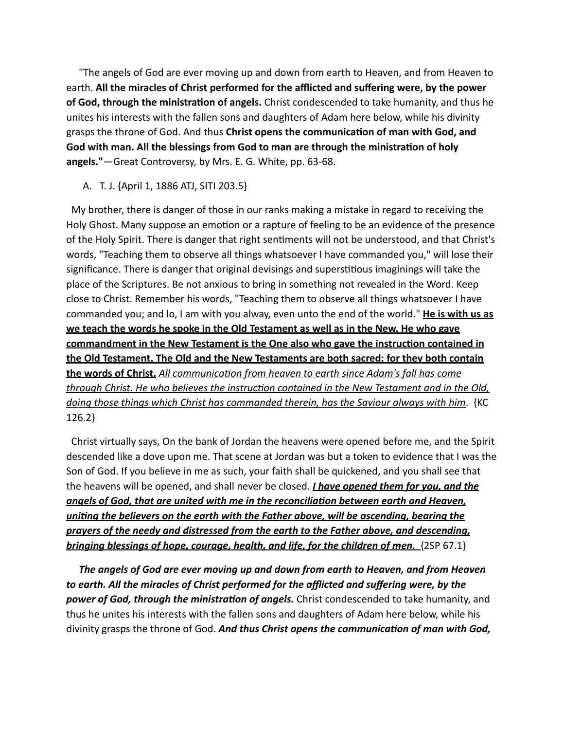"The angels of God are ever moving up and down from earth to Heaven, and from Heaven to earth. All the miracles of Christ performed for the afflicted and suffering were, by the power **of God, through the ministration of angels.** Christ condescended to take humanity, and thus he unites his interests with the fallen sons and daughters of Adam here below, while his divinity grasps the throne of God. And thus Christ opens the communication of man with God, and God with man. All the blessings from God to man are through the ministration of holy angels." - Great Controversy, by Mrs. E. G. White, pp. 63-68.

A. T. J. {April 1, 1886 ATJ, SITI 203.5}

My brother, there is danger of those in our ranks making a mistake in regard to receiving the Holy Ghost. Many suppose an emotion or a rapture of feeling to be an evidence of the presence of the Holy Spirit. There is danger that right sentiments will not be understood, and that Christ's words, "Teaching them to observe all things whatsoever I have commanded you," will lose their significance. There is danger that original devisings and superstitious imaginings will take the place of the Scriptures. Be not anxious to bring in something not revealed in the Word. Keep close to Christ. Remember his words, "Teaching them to observe all things whatsoever I have commanded you; and lo, I am with you alway, even unto the end of the world." He is with us as we teach the words he spoke in the Old Testament as well as in the New. He who gave **<u>commandment in the New Testament is the One also who gave the instruction contained in</u> the Old Testament. The Old and the New Testaments are both sacred; for they both contain the words of Christ.** All communication from heaven to earth since Adam's fall has come *through Christ. He who believes the instruction contained in the New Testament and in the Old,* doing those things which Christ has commanded therein, has the Saviour always with him. {KC 126.2} 

Christ virtually says, On the bank of Jordan the heavens were opened before me, and the Spirit descended like a dove upon me. That scene at Jordan was but a token to evidence that I was the Son of God. If you believe in me as such, your faith shall be quickened, and you shall see that the heavens will be opened, and shall never be closed. *I have opened them for you, and the* angels of God, that are united with me in the reconciliation between earth and Heaven, *uniting the believers on the earth with the Father above, will be ascending, bearing the prayers* of the needy and distressed from the earth to the Father above, and descending, **bringing blessings of hope, courage, health, and life, for the children of men.** {2SP 67.1}

The angels of God are ever moving up and down from earth to Heaven, and from Heaven to earth. All the miracles of Christ performed for the afflicted and suffering were, by the **power of God, through the ministration of angels.** Christ condescended to take humanity, and thus he unites his interests with the fallen sons and daughters of Adam here below, while his divinity grasps the throne of God. *And thus Christ opens the communication of man with God,*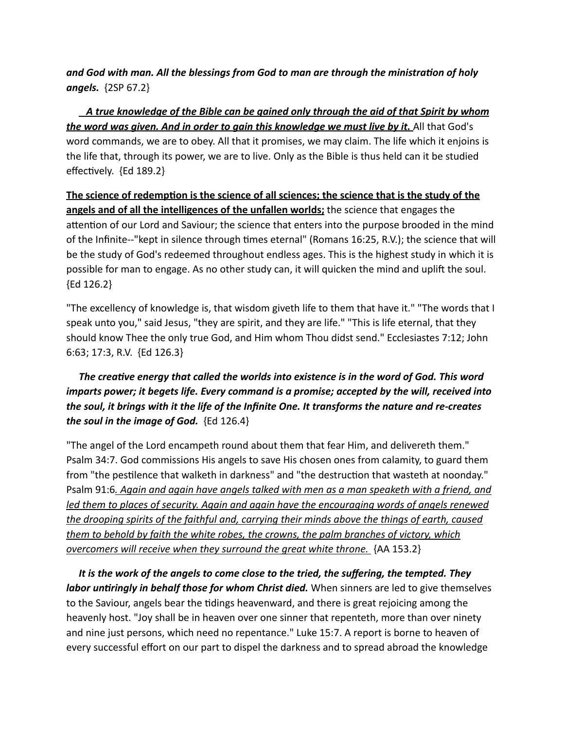and God with man. All the blessings from God to man are through the ministration of holy *angels.* {2SP 67.2}

*A true knowledge of the Bible can be gained only through the aid of that Spirit by whom* **the word was given. And in order to gain this knowledge we must live by it.** All that God's word commands, we are to obey. All that it promises, we may claim. The life which it enjoins is the life that, through its power, we are to live. Only as the Bible is thus held can it be studied effectively. {Ed 189.2}

The science of redemption is the science of all sciences; the science that is the study of the **angels and of all the intelligences of the unfallen worlds;** the science that engages the attention of our Lord and Saviour; the science that enters into the purpose brooded in the mind of the Infinite--"kept in silence through times eternal" (Romans 16:25, R.V.); the science that will be the study of God's redeemed throughout endless ages. This is the highest study in which it is possible for man to engage. As no other study can, it will quicken the mind and uplift the soul.  ${Ed 126.2}$ 

"The excellency of knowledge is, that wisdom giveth life to them that have it." "The words that I speak unto you," said Jesus, "they are spirit, and they are life." "This is life eternal, that they should know Thee the only true God, and Him whom Thou didst send." Ecclesiastes 7:12; John 6:63; 17:3, R.V. {Ed 126.3} 

# The creative energy that called the worlds into existence is in the word of God. This word *imparts power;* it begets life. Every command is a promise; accepted by the will, received into *the soul, it brings with it the life of the Infinite One. It transforms the nature and re-creates the soul in the image of God.*  $\{Ed\ 126.4\}$

"The angel of the Lord encampeth round about them that fear Him, and delivereth them." Psalm 34:7. God commissions His angels to save His chosen ones from calamity, to guard them from "the pestilence that walketh in darkness" and "the destruction that wasteth at noonday." Psalm 91:6. Again and again have angels talked with men as a man speaketh with a friend, and *led them to places of security. Again and again have the encouraging words of angels renewed the drooping spirits of the faithful and, carrying their minds above the things of earth, caused them to behold by faith the white robes, the crowns, the palm branches of victory, which overcomers will receive when they surround the great white throne.* {AA 153.2}

It is the work of the angels to come close to the tried, the suffering, the tempted. They *labor untiringly in behalf those for whom Christ died.* When sinners are led to give themselves to the Saviour, angels bear the tidings heavenward, and there is great rejoicing among the heavenly host. "Joy shall be in heaven over one sinner that repenteth, more than over ninety and nine just persons, which need no repentance." Luke 15:7. A report is borne to heaven of every successful effort on our part to dispel the darkness and to spread abroad the knowledge